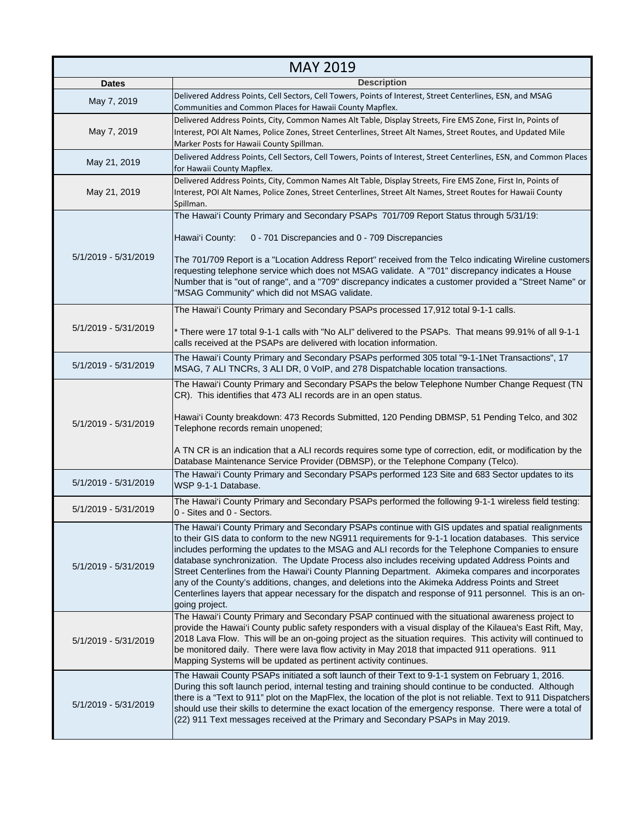| <b>MAY 2019</b>      |                                                                                                                                                                                                                                                                                                                                                                                                                                                                                                                                                                                                                                                                                                                                                          |
|----------------------|----------------------------------------------------------------------------------------------------------------------------------------------------------------------------------------------------------------------------------------------------------------------------------------------------------------------------------------------------------------------------------------------------------------------------------------------------------------------------------------------------------------------------------------------------------------------------------------------------------------------------------------------------------------------------------------------------------------------------------------------------------|
| <b>Dates</b>         | <b>Description</b>                                                                                                                                                                                                                                                                                                                                                                                                                                                                                                                                                                                                                                                                                                                                       |
| May 7, 2019          | Delivered Address Points, Cell Sectors, Cell Towers, Points of Interest, Street Centerlines, ESN, and MSAG<br>Communities and Common Places for Hawaii County Mapflex.                                                                                                                                                                                                                                                                                                                                                                                                                                                                                                                                                                                   |
| May 7, 2019          | Delivered Address Points, City, Common Names Alt Table, Display Streets, Fire EMS Zone, First In, Points of<br>Interest, POI Alt Names, Police Zones, Street Centerlines, Street Alt Names, Street Routes, and Updated Mile<br>Marker Posts for Hawaii County Spillman.                                                                                                                                                                                                                                                                                                                                                                                                                                                                                  |
| May 21, 2019         | Delivered Address Points, Cell Sectors, Cell Towers, Points of Interest, Street Centerlines, ESN, and Common Places<br>for Hawaii County Mapflex.                                                                                                                                                                                                                                                                                                                                                                                                                                                                                                                                                                                                        |
| May 21, 2019         | Delivered Address Points, City, Common Names Alt Table, Display Streets, Fire EMS Zone, First In, Points of<br>Interest, POI Alt Names, Police Zones, Street Centerlines, Street Alt Names, Street Routes for Hawaii County<br>Spillman.                                                                                                                                                                                                                                                                                                                                                                                                                                                                                                                 |
| 5/1/2019 - 5/31/2019 | The Hawai'i County Primary and Secondary PSAPs 701/709 Report Status through 5/31/19:<br>Hawai'i County:<br>0 - 701 Discrepancies and 0 - 709 Discrepancies<br>The 701/709 Report is a "Location Address Report" received from the Telco indicating Wireline customers<br>requesting telephone service which does not MSAG validate. A "701" discrepancy indicates a House<br>Number that is "out of range", and a "709" discrepancy indicates a customer provided a "Street Name" or<br>"MSAG Community" which did not MSAG validate.                                                                                                                                                                                                                   |
| 5/1/2019 - 5/31/2019 | The Hawai'i County Primary and Secondary PSAPs processed 17,912 total 9-1-1 calls.<br>* There were 17 total 9-1-1 calls with "No ALI" delivered to the PSAPs. That means 99.91% of all 9-1-1<br>calls received at the PSAPs are delivered with location information.                                                                                                                                                                                                                                                                                                                                                                                                                                                                                     |
| 5/1/2019 - 5/31/2019 | The Hawai'i County Primary and Secondary PSAPs performed 305 total "9-1-1Net Transactions", 17<br>MSAG, 7 ALI TNCRs, 3 ALI DR, 0 VoIP, and 278 Dispatchable location transactions.                                                                                                                                                                                                                                                                                                                                                                                                                                                                                                                                                                       |
| 5/1/2019 - 5/31/2019 | The Hawai'i County Primary and Secondary PSAPs the below Telephone Number Change Request (TN<br>CR). This identifies that 473 ALI records are in an open status.<br>Hawai'i County breakdown: 473 Records Submitted, 120 Pending DBMSP, 51 Pending Telco, and 302<br>Telephone records remain unopened;<br>A TN CR is an indication that a ALI records requires some type of correction, edit, or modification by the<br>Database Maintenance Service Provider (DBMSP), or the Telephone Company (Telco).                                                                                                                                                                                                                                                |
| 5/1/2019 - 5/31/2019 | The Hawai'i County Primary and Secondary PSAPs performed 123 Site and 683 Sector updates to its<br>WSP 9-1-1 Database.                                                                                                                                                                                                                                                                                                                                                                                                                                                                                                                                                                                                                                   |
| 5/1/2019 - 5/31/2019 | The Hawai'i County Primary and Secondary PSAPs performed the following 9-1-1 wireless field testing:<br>0 - Sites and 0 - Sectors.                                                                                                                                                                                                                                                                                                                                                                                                                                                                                                                                                                                                                       |
| 5/1/2019 - 5/31/2019 | The Hawai'i County Primary and Secondary PSAPs continue with GIS updates and spatial realignments<br>to their GIS data to conform to the new NG911 requirements for 9-1-1 location databases. This service<br>includes performing the updates to the MSAG and ALI records for the Telephone Companies to ensure<br>database synchronization. The Update Process also includes receiving updated Address Points and<br>Street Centerlines from the Hawai'i County Planning Department. Akimeka compares and incorporates<br>any of the County's additions, changes, and deletions into the Akimeka Address Points and Street<br>Centerlines layers that appear necessary for the dispatch and response of 911 personnel. This is an on-<br>going project. |
| 5/1/2019 - 5/31/2019 | The Hawai'i County Primary and Secondary PSAP continued with the situational awareness project to<br>provide the Hawai'i County public safety responders with a visual display of the Kilauea's East Rift, May,<br>2018 Lava Flow. This will be an on-going project as the situation requires. This activity will continued to<br>be monitored daily. There were lava flow activity in May 2018 that impacted 911 operations. 911<br>Mapping Systems will be updated as pertinent activity continues.                                                                                                                                                                                                                                                    |
| 5/1/2019 - 5/31/2019 | The Hawaii County PSAPs initiated a soft launch of their Text to 9-1-1 system on February 1, 2016.<br>During this soft launch period, internal testing and training should continue to be conducted. Although<br>there is a "Text to 911" plot on the MapFlex, the location of the plot is not reliable. Text to 911 Dispatchers<br>should use their skills to determine the exact location of the emergency response. There were a total of<br>(22) 911 Text messages received at the Primary and Secondary PSAPs in May 2019.                                                                                                                                                                                                                          |